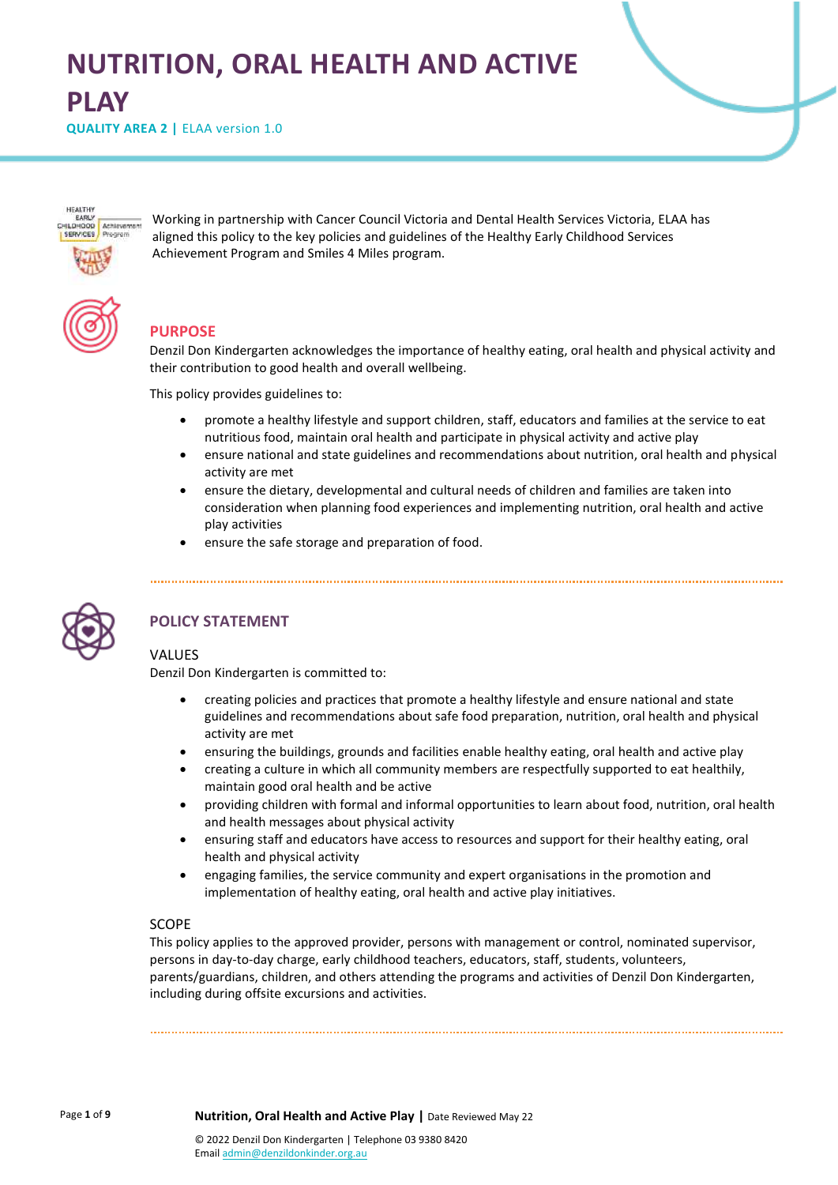# **NUTRITION, ORAL HEALTH AND ACTIVE PLAY**

**QUALITY AREA 2 | ELAA version 1.0** 



Working in partnership with Cancer Council Victoria and Dental Health Services Victoria, ELAA has aligned this policy to the key policies and guidelines of the Healthy Early Childhood Services Achievement Program and Smiles 4 Miles program.

# **PURPOSE**

Denzil Don Kindergarten acknowledges the importance of healthy eating, oral health and physical activity and their contribution to good health and overall wellbeing.

This policy provides guidelines to:

- promote a healthy lifestyle and support children, staff, educators and families at the service to eat nutritious food, maintain oral health and participate in physical activity and active play
- ensure national and state guidelines and recommendations about nutrition, oral health and physical activity are met
- ensure the dietary, developmental and cultural needs of children and families are taken into consideration when planning food experiences and implementing nutrition, oral health and active play activities
- ensure the safe storage and preparation of food.



# **POLICY STATEMENT**

### VALUES

Denzil Don Kindergarten is committed to:

- creating policies and practices that promote a healthy lifestyle and ensure national and state guidelines and recommendations about safe food preparation, nutrition, oral health and physical activity are met
- ensuring the buildings, grounds and facilities enable healthy eating, oral health and active play
- creating a culture in which all community members are respectfully supported to eat healthily, maintain good oral health and be active
- providing children with formal and informal opportunities to learn about food, nutrition, oral health and health messages about physical activity
- ensuring staff and educators have access to resources and support for their healthy eating, oral health and physical activity
- engaging families, the service community and expert organisations in the promotion and implementation of healthy eating, oral health and active play initiatives.

#### SCOPE

This policy applies to the approved provider, persons with management or control, nominated supervisor, persons in day-to-day charge, early childhood teachers, educators, staff, students, volunteers, parents/guardians, children, and others attending the programs and activities of Denzil Don Kindergarten, including during offsite excursions and activities.

Page **1** of **9 Nutrition, Oral Health and Active Play |** Date Reviewed May 22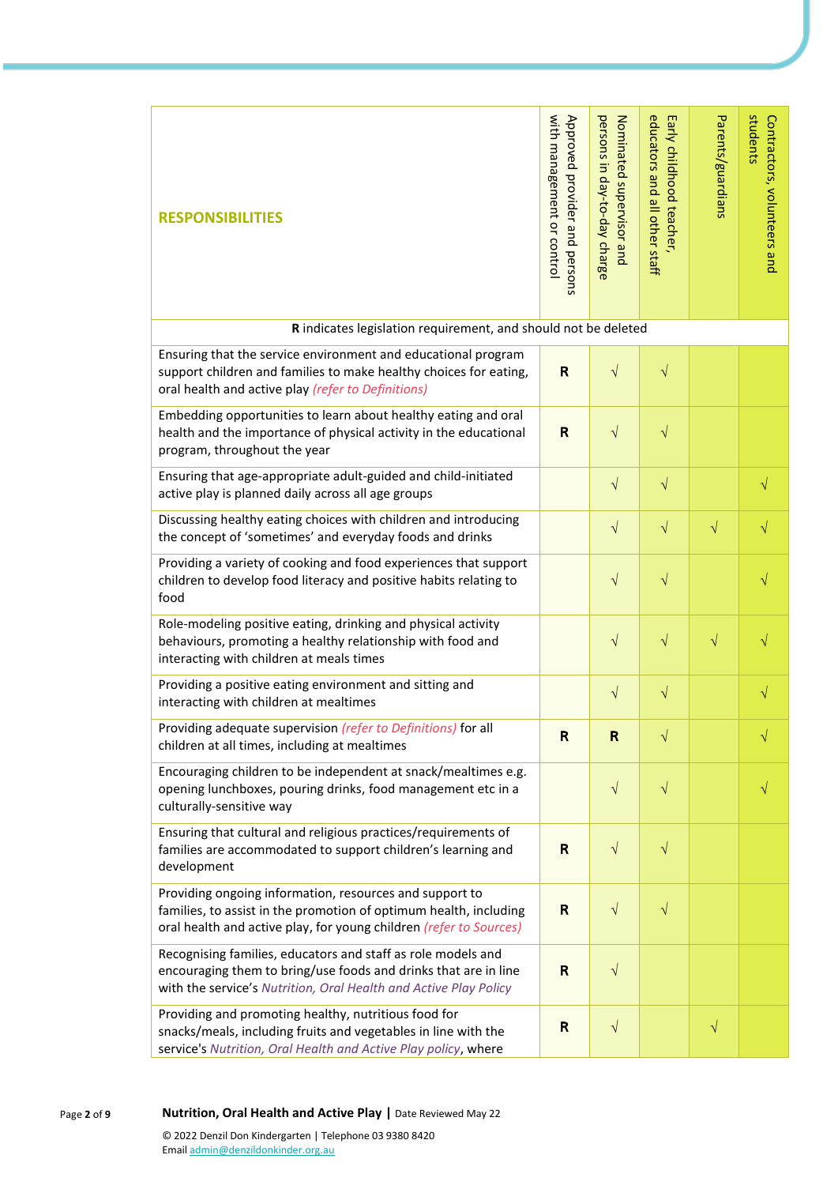| <b>RESPONSIBILITIES</b>                                                                                                                                                                             | with management or contro<br>Approved provider and persons | persons in day-to-day charge<br>Nominated supervisor and | educators and all other staff<br>Early childhood teacher, | Parents/guardians | students<br>Contractors, volunteers and |
|-----------------------------------------------------------------------------------------------------------------------------------------------------------------------------------------------------|------------------------------------------------------------|----------------------------------------------------------|-----------------------------------------------------------|-------------------|-----------------------------------------|
| R indicates legislation requirement, and should not be deleted                                                                                                                                      |                                                            |                                                          |                                                           |                   |                                         |
| Ensuring that the service environment and educational program<br>support children and families to make healthy choices for eating,<br>oral health and active play (refer to Definitions)            | $\mathsf{R}$                                               | $\sqrt{ }$                                               | $\sqrt{}$                                                 |                   |                                         |
| Embedding opportunities to learn about healthy eating and oral<br>health and the importance of physical activity in the educational<br>program, throughout the year                                 | $\mathsf R$                                                | $\sqrt{}$                                                | $\sqrt{}$                                                 |                   |                                         |
| Ensuring that age-appropriate adult-guided and child-initiated<br>active play is planned daily across all age groups                                                                                |                                                            | $\sqrt{}$                                                | $\sqrt{}$                                                 |                   | $\sqrt{}$                               |
| Discussing healthy eating choices with children and introducing<br>the concept of 'sometimes' and everyday foods and drinks                                                                         |                                                            | $\sqrt{}$                                                | $\sqrt{}$                                                 | $\sqrt{}$         | $\sqrt{}$                               |
| Providing a variety of cooking and food experiences that support<br>children to develop food literacy and positive habits relating to<br>food                                                       |                                                            | $\sqrt{}$                                                | $\sqrt{}$                                                 |                   | $\sqrt{}$                               |
| Role-modeling positive eating, drinking and physical activity<br>behaviours, promoting a healthy relationship with food and<br>interacting with children at meals times                             |                                                            | $\sqrt{}$                                                | $\sqrt{}$                                                 | $\sqrt{}$         | √                                       |
| Providing a positive eating environment and sitting and<br>interacting with children at mealtimes                                                                                                   |                                                            | $\sqrt{}$                                                | $\sqrt{}$                                                 |                   | $\sqrt{}$                               |
| Providing adequate supervision (refer to Definitions) for all<br>children at all times, including at mealtimes                                                                                      | $\mathsf{R}$                                               | $\mathsf{R}$                                             | V                                                         |                   | V                                       |
| Encouraging children to be independent at snack/mealtimes e.g.<br>opening lunchboxes, pouring drinks, food management etc in a<br>culturally-sensitive way                                          |                                                            | $\sqrt{}$                                                | $\sqrt{}$                                                 |                   | V                                       |
| Ensuring that cultural and religious practices/requirements of<br>families are accommodated to support children's learning and<br>development                                                       | R                                                          | $\sqrt{}$                                                | $\sqrt{}$                                                 |                   |                                         |
| Providing ongoing information, resources and support to<br>families, to assist in the promotion of optimum health, including<br>oral health and active play, for young children (refer to Sources)  | $\mathsf R$                                                | $\sqrt{ }$                                               | $\sqrt{}$                                                 |                   |                                         |
| Recognising families, educators and staff as role models and<br>encouraging them to bring/use foods and drinks that are in line<br>with the service's Nutrition, Oral Health and Active Play Policy | $\mathsf{R}$                                               | $\sqrt{}$                                                |                                                           |                   |                                         |
| Providing and promoting healthy, nutritious food for<br>snacks/meals, including fruits and vegetables in line with the<br>service's Nutrition, Oral Health and Active Play policy, where            | $\mathsf{R}$                                               | $\sqrt{}$                                                |                                                           | $\sqrt{}$         |                                         |

Page **2** of **9 Nutrition, Oral Health and Active Play |** Date Reviewed May 22 © 2022 Denzil Don Kindergarten | Telephone 03 9380 8420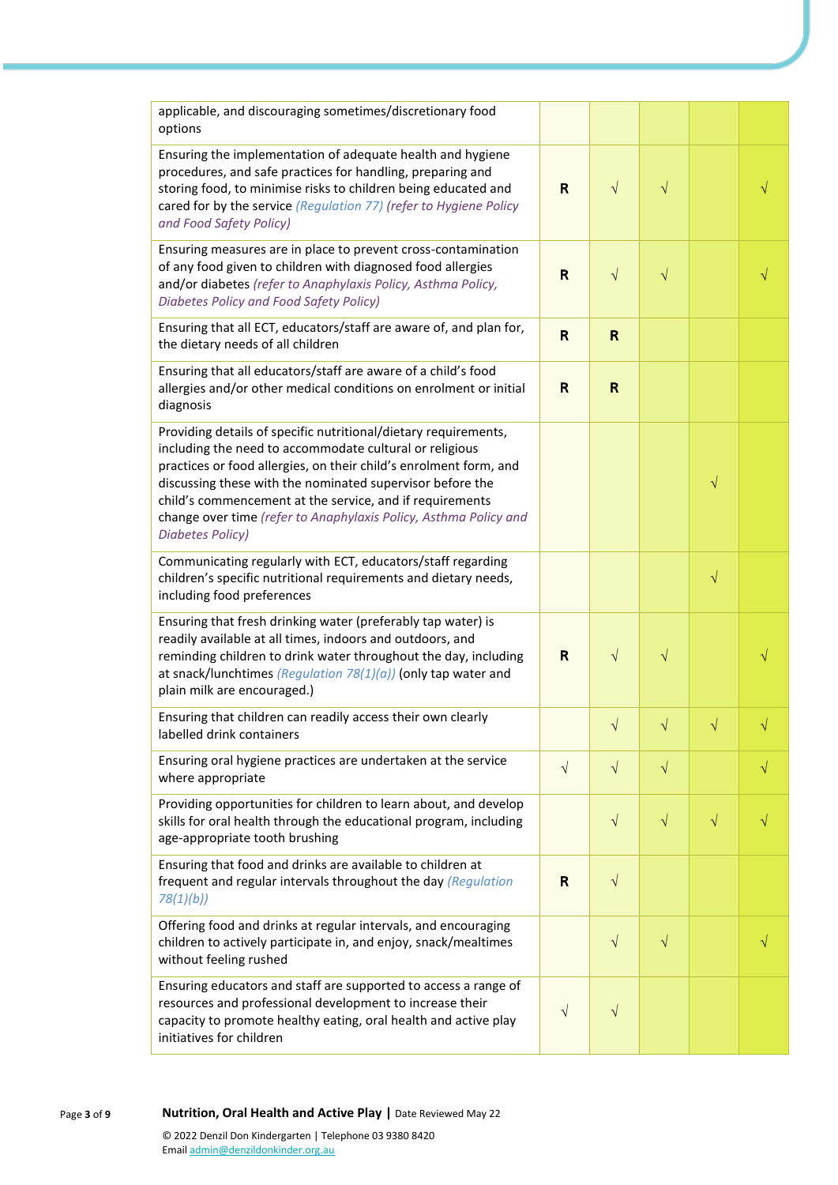| applicable, and discouraging sometimes/discretionary food<br>options                                                                                                                                                                                                                                                                                                                                                    |              |              |            |            |   |
|-------------------------------------------------------------------------------------------------------------------------------------------------------------------------------------------------------------------------------------------------------------------------------------------------------------------------------------------------------------------------------------------------------------------------|--------------|--------------|------------|------------|---|
| Ensuring the implementation of adequate health and hygiene<br>procedures, and safe practices for handling, preparing and<br>storing food, to minimise risks to children being educated and<br>cared for by the service (Regulation 77) (refer to Hygiene Policy<br>and Food Safety Policy)                                                                                                                              | $\mathsf{R}$ | $\sqrt{ }$   | $\sqrt{}$  |            |   |
| Ensuring measures are in place to prevent cross-contamination<br>of any food given to children with diagnosed food allergies<br>and/or diabetes (refer to Anaphylaxis Policy, Asthma Policy,<br>Diabetes Policy and Food Safety Policy)                                                                                                                                                                                 | $\mathsf{R}$ | $\sqrt{}$    | $\sqrt{}$  |            |   |
| Ensuring that all ECT, educators/staff are aware of, and plan for,<br>the dietary needs of all children                                                                                                                                                                                                                                                                                                                 | R            | $\mathsf{R}$ |            |            |   |
| Ensuring that all educators/staff are aware of a child's food<br>allergies and/or other medical conditions on enrolment or initial<br>diagnosis                                                                                                                                                                                                                                                                         | R            | $\mathsf R$  |            |            |   |
| Providing details of specific nutritional/dietary requirements,<br>including the need to accommodate cultural or religious<br>practices or food allergies, on their child's enrolment form, and<br>discussing these with the nominated supervisor before the<br>child's commencement at the service, and if requirements<br>change over time (refer to Anaphylaxis Policy, Asthma Policy and<br><b>Diabetes Policy)</b> |              |              |            | $\sqrt{}$  |   |
| Communicating regularly with ECT, educators/staff regarding<br>children's specific nutritional requirements and dietary needs,<br>including food preferences                                                                                                                                                                                                                                                            |              |              |            | $\sqrt{}$  |   |
| Ensuring that fresh drinking water (preferably tap water) is<br>readily available at all times, indoors and outdoors, and<br>reminding children to drink water throughout the day, including<br>at snack/lunchtimes (Regulation $78(1)(a)$ ) (only tap water and<br>plain milk are encouraged.)                                                                                                                         | R            | $\sqrt{ }$   | $\sqrt{}$  |            |   |
| Ensuring that children can readily access their own clearly<br>labelled drink containers                                                                                                                                                                                                                                                                                                                                |              | $\sqrt{}$    | $\sqrt{ }$ | $\sqrt{ }$ |   |
| Ensuring oral hygiene practices are undertaken at the service<br>where appropriate                                                                                                                                                                                                                                                                                                                                      | $\sqrt{}$    | $\sqrt{}$    | $\sqrt{}$  |            | √ |
| Providing opportunities for children to learn about, and develop<br>skills for oral health through the educational program, including<br>age-appropriate tooth brushing                                                                                                                                                                                                                                                 |              | $\sqrt{}$    | $\sqrt{}$  | $\sqrt{}$  |   |
| Ensuring that food and drinks are available to children at<br>frequent and regular intervals throughout the day (Regulation<br>78(1)(b)                                                                                                                                                                                                                                                                                 | R            | $\sqrt{}$    |            |            |   |
| Offering food and drinks at regular intervals, and encouraging<br>children to actively participate in, and enjoy, snack/mealtimes<br>without feeling rushed                                                                                                                                                                                                                                                             |              | $\sqrt{}$    | $\sqrt{}$  |            |   |
| Ensuring educators and staff are supported to access a range of<br>resources and professional development to increase their<br>capacity to promote healthy eating, oral health and active play<br>initiatives for children                                                                                                                                                                                              | $\sqrt{}$    | $\sqrt{}$    |            |            |   |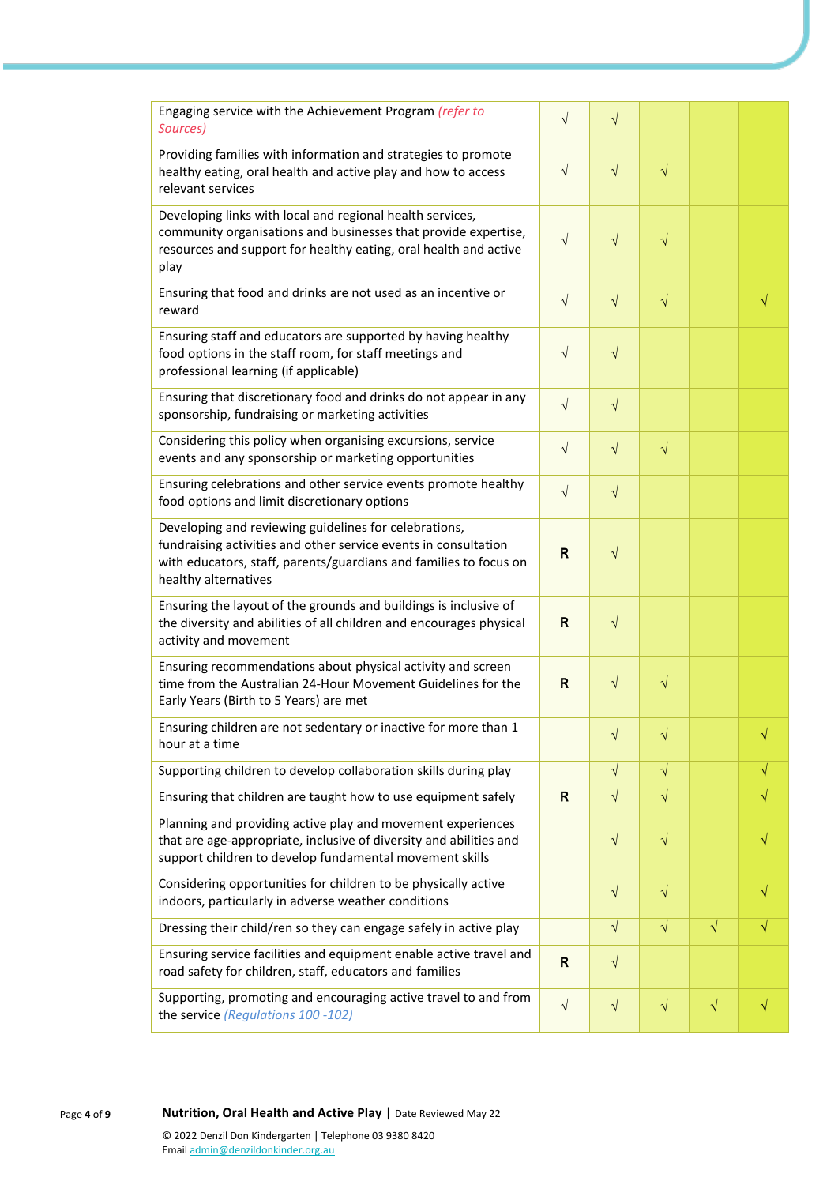| Engaging service with the Achievement Program (refer to<br>Sources)                                                                                                                                                   | $\sqrt{}$    | $\sqrt{}$  |           |           |           |
|-----------------------------------------------------------------------------------------------------------------------------------------------------------------------------------------------------------------------|--------------|------------|-----------|-----------|-----------|
| Providing families with information and strategies to promote<br>healthy eating, oral health and active play and how to access<br>relevant services                                                                   | $\sqrt{ }$   | $\sqrt{}$  | $\sqrt{}$ |           |           |
| Developing links with local and regional health services,<br>community organisations and businesses that provide expertise,<br>resources and support for healthy eating, oral health and active<br>play               | $\sqrt{}$    | $\sqrt{}$  | $\sqrt{}$ |           |           |
| Ensuring that food and drinks are not used as an incentive or<br>reward                                                                                                                                               | $\sqrt{ }$   | $\sqrt{}$  | $\sqrt{}$ |           | $\sqrt{}$ |
| Ensuring staff and educators are supported by having healthy<br>food options in the staff room, for staff meetings and<br>professional learning (if applicable)                                                       | $\sqrt{ }$   | $\sqrt{}$  |           |           |           |
| Ensuring that discretionary food and drinks do not appear in any<br>sponsorship, fundraising or marketing activities                                                                                                  | $\sqrt{}$    | $\sqrt{}$  |           |           |           |
| Considering this policy when organising excursions, service<br>events and any sponsorship or marketing opportunities                                                                                                  | $\sqrt{}$    | $\sqrt{}$  | $\sqrt{}$ |           |           |
| Ensuring celebrations and other service events promote healthy<br>food options and limit discretionary options                                                                                                        | $\sqrt{}$    | $\sqrt{}$  |           |           |           |
| Developing and reviewing guidelines for celebrations,<br>fundraising activities and other service events in consultation<br>with educators, staff, parents/guardians and families to focus on<br>healthy alternatives | $\mathsf{R}$ | $\sqrt{}$  |           |           |           |
| Ensuring the layout of the grounds and buildings is inclusive of<br>the diversity and abilities of all children and encourages physical<br>activity and movement                                                      | R            | $\sqrt{}$  |           |           |           |
| Ensuring recommendations about physical activity and screen<br>time from the Australian 24-Hour Movement Guidelines for the<br>Early Years (Birth to 5 Years) are met                                                 | R            | $\sqrt{}$  | $\sqrt{}$ |           |           |
| Ensuring children are not sedentary or inactive for more than 1<br>hour at a time                                                                                                                                     |              | V          | $\sqrt{}$ |           | V         |
| Supporting children to develop collaboration skills during play                                                                                                                                                       |              | $\sqrt{ }$ | $\sqrt{}$ |           | $\sqrt{}$ |
| Ensuring that children are taught how to use equipment safely                                                                                                                                                         | R            | $\sqrt{ }$ | $\sqrt{}$ |           | $\sqrt{}$ |
| Planning and providing active play and movement experiences<br>that are age-appropriate, inclusive of diversity and abilities and<br>support children to develop fundamental movement skills                          |              | $\sqrt{}$  | $\sqrt{}$ |           |           |
| Considering opportunities for children to be physically active<br>indoors, particularly in adverse weather conditions                                                                                                 |              | $\sqrt{}$  | $\sqrt{}$ |           | √         |
| Dressing their child/ren so they can engage safely in active play                                                                                                                                                     |              | $\sqrt{}$  | $\sqrt{}$ | $\sqrt{}$ | V         |
| Ensuring service facilities and equipment enable active travel and<br>road safety for children, staff, educators and families                                                                                         | $\mathsf{R}$ | $\sqrt{}$  |           |           |           |
| Supporting, promoting and encouraging active travel to and from<br>the service (Regulations 100 -102)                                                                                                                 | $\sqrt{ }$   | $\sqrt{}$  | $\sqrt{}$ | $\sqrt{}$ | √         |

Page **4** of **9 Nutrition, Oral Health and Active Play |** Date Reviewed May 22 © 2022 Denzil Don Kindergarten | Telephone 03 9380 8420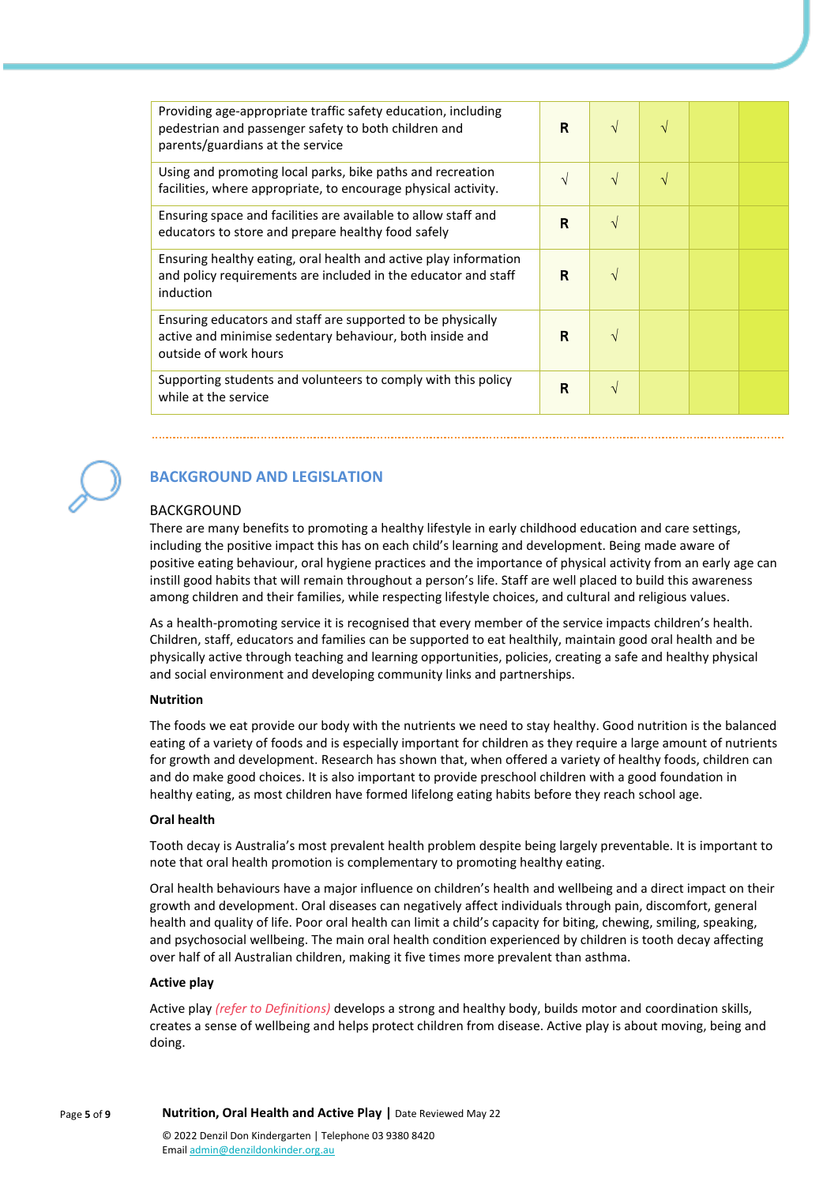| Providing age-appropriate traffic safety education, including<br>pedestrian and passenger safety to both children and<br>parents/guardians at the service | R | $\sqrt{ }$ | V         |  |
|-----------------------------------------------------------------------------------------------------------------------------------------------------------|---|------------|-----------|--|
| Using and promoting local parks, bike paths and recreation<br>facilities, where appropriate, to encourage physical activity.                              | V | $\sqrt{ }$ | $\sqrt{}$ |  |
| Ensuring space and facilities are available to allow staff and<br>educators to store and prepare healthy food safely                                      | R | $\sqrt{ }$ |           |  |
| Ensuring healthy eating, oral health and active play information<br>and policy requirements are included in the educator and staff<br>induction           | R | V          |           |  |
| Ensuring educators and staff are supported to be physically<br>active and minimise sedentary behaviour, both inside and<br>outside of work hours          | R | V          |           |  |
| Supporting students and volunteers to comply with this policy<br>while at the service                                                                     | R | $\sqrt{ }$ |           |  |



## **BACKGROUND AND LEGISLATION**

#### BACKGROUND

There are many benefits to promoting a healthy lifestyle in early childhood education and care settings, including the positive impact this has on each child's learning and development. Being made aware of positive eating behaviour, oral hygiene practices and the importance of physical activity from an early age can instill good habits that will remain throughout a person's life. Staff are well placed to build this awareness among children and their families, while respecting lifestyle choices, and cultural and religious values.

As a health-promoting service it is recognised that every member of the service impacts children's health. Children, staff, educators and families can be supported to eat healthily, maintain good oral health and be physically active through teaching and learning opportunities, policies, creating a safe and healthy physical and social environment and developing community links and partnerships.

#### **Nutrition**

The foods we eat provide our body with the nutrients we need to stay healthy. Good nutrition is the balanced eating of a variety of foods and is especially important for children as they require a large amount of nutrients for growth and development. Research has shown that, when offered a variety of healthy foods, children can and do make good choices. It is also important to provide preschool children with a good foundation in healthy eating, as most children have formed lifelong eating habits before they reach school age.

#### **Oral health**

Tooth decay is Australia's most prevalent health problem despite being largely preventable. It is important to note that oral health promotion is complementary to promoting healthy eating.

Oral health behaviours have a major influence on children's health and wellbeing and a direct impact on their growth and development. Oral diseases can negatively affect individuals through pain, discomfort, general health and quality of life. Poor oral health can limit a child's capacity for biting, chewing, smiling, speaking, and psychosocial wellbeing. The main oral health condition experienced by children is tooth decay affecting over half of all Australian children, making it five times more prevalent than asthma.

#### **Active play**

Active play *(refer to Definitions)* develops a strong and healthy body, builds motor and coordination skills, creates a sense of wellbeing and helps protect children from disease. Active play is about moving, being and doing.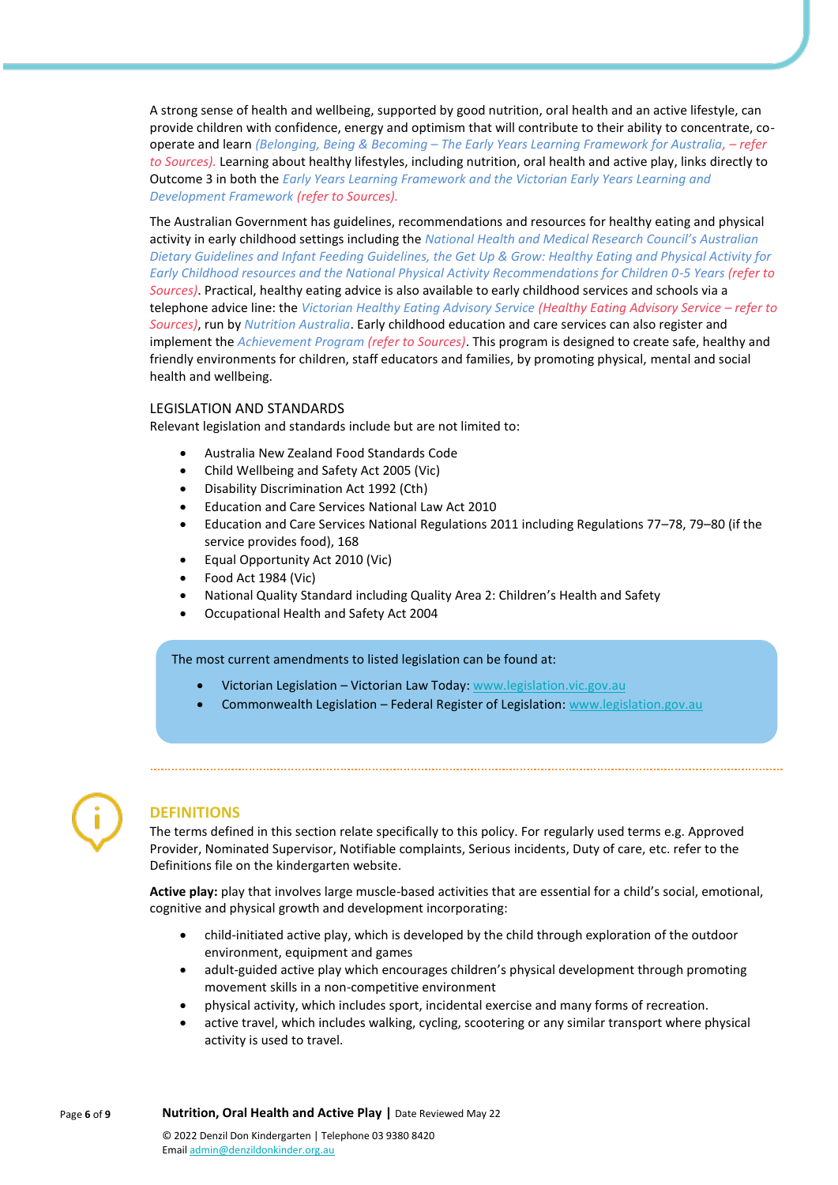A strong sense of health and wellbeing, supported by good nutrition, oral health and an active lifestyle, can provide children with confidence, energy and optimism that will contribute to their ability to concentrate, cooperate and learn *(Belonging, Being & Becoming – The Early Years Learning Framework for Australia, – refer to Sources).* Learning about healthy lifestyles, including nutrition, oral health and active play, links directly to Outcome 3 in both the *Early Years Learning Framework and the Victorian Early Years Learning and Development Framework (refer to Sources).*

The Australian Government has guidelines, recommendations and resources for healthy eating and physical activity in early childhood settings including the *National Health and Medical Research Council's Australian Dietary Guidelines and Infant Feeding Guidelines, the Get Up & Grow: Healthy Eating and Physical Activity for Early Childhood resources and the National Physical Activity Recommendations for Children 0-5 Years (refer to Sources)*. Practical, healthy eating advice is also available to early childhood services and schools via a telephone advice line: the *Victorian Healthy Eating Advisory Service (Healthy Eating Advisory Service – refer to Sources)*, run by *Nutrition Australia*. Early childhood education and care services can also register and implement the *Achievement Program (refer to Sources)*. This program is designed to create safe, healthy and friendly environments for children, staff educators and families, by promoting physical, mental and social health and wellbeing.

#### LEGISLATION AND STANDARDS

Relevant legislation and standards include but are not limited to:

- Australia New Zealand Food Standards Code
- Child Wellbeing and Safety Act 2005 (Vic)
- Disability Discrimination Act 1992 (Cth)
- Education and Care Services National Law Act 2010
- Education and Care Services National Regulations 2011 including Regulations 77–78, 79–80 (if the service provides food), 168
- Equal Opportunity Act 2010 (Vic)
- Food Act 1984 (Vic)
- National Quality Standard including Quality Area 2: Children's Health and Safety
- Occupational Health and Safety Act 2004

The most current amendments to listed legislation can be found at:

- Victorian Legislation Victorian Law Today: [www.legislation.vic.gov.au](http://www.legislation.vic.gov.au/)
- Commonwealth Legislation Federal Register of Legislation[: www.legislation.gov.au](http://www.legislation.gov.au/)



### **DEFINITIONS**

The terms defined in this section relate specifically to this policy. For regularly used terms e.g. Approved Provider, Nominated Supervisor, Notifiable complaints, Serious incidents, Duty of care, etc. refer to the Definitions file on the kindergarten website.

**Active play:** play that involves large muscle-based activities that are essential for a child's social, emotional, cognitive and physical growth and development incorporating:

- child-initiated active play, which is developed by the child through exploration of the outdoor environment, equipment and games
- adult-guided active play which encourages children's physical development through promoting movement skills in a non-competitive environment
- physical activity, which includes sport, incidental exercise and many forms of recreation.
- active travel, which includes walking, cycling, scootering or any similar transport where physical activity is used to travel.

Page **6** of **9 Nutrition, Oral Health and Active Play |** Date Reviewed May 22 © 2022 Denzil Don Kindergarten | Telephone 03 9380 8420 Emai[l admin@denzildonkinder.org.au](mailto:admin@denzildonkinder.org.au)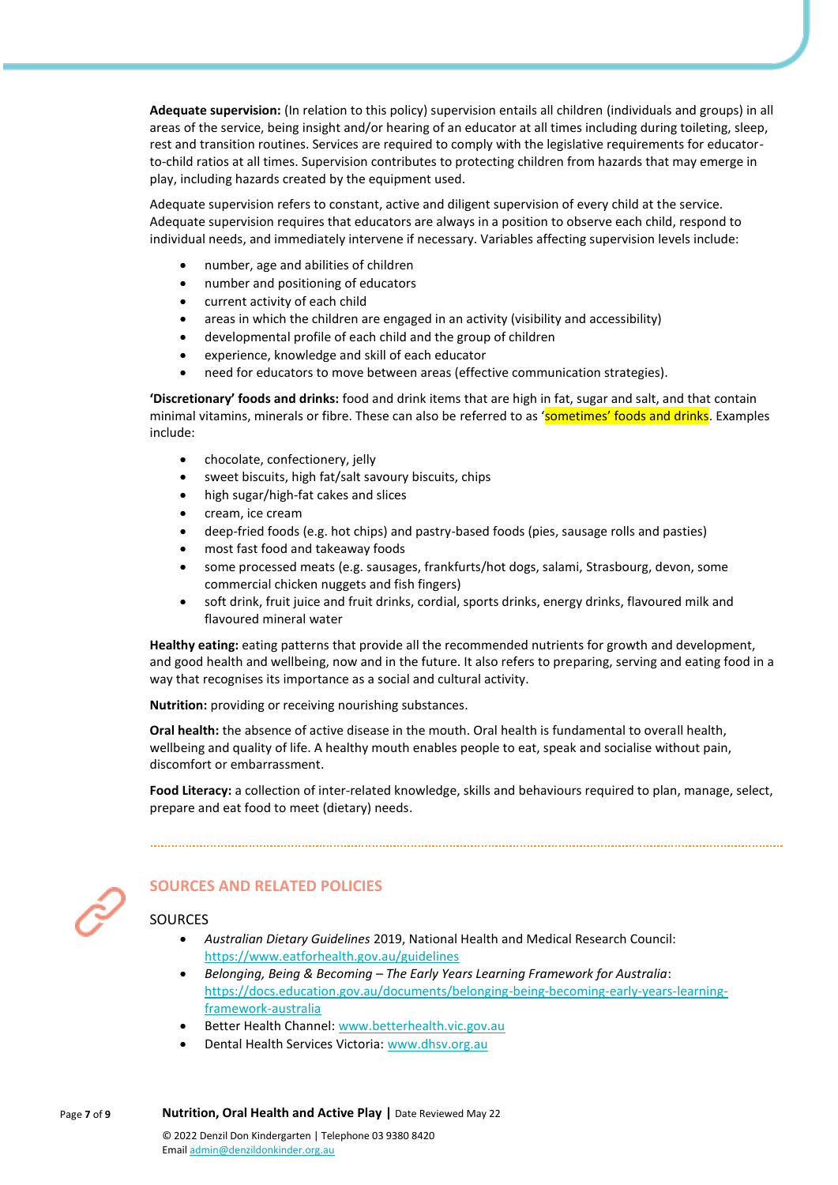**Adequate supervision:** (In relation to this policy) supervision entails all children (individuals and groups) in all areas of the service, being insight and/or hearing of an educator at all times including during toileting, sleep, rest and transition routines. Services are required to comply with the legislative requirements for educatorto-child ratios at all times. Supervision contributes to protecting children from hazards that may emerge in play, including hazards created by the equipment used.

Adequate supervision refers to constant, active and diligent supervision of every child at the service. Adequate supervision requires that educators are always in a position to observe each child, respond to individual needs, and immediately intervene if necessary. Variables affecting supervision levels include:

- number, age and abilities of children
- number and positioning of educators
- current activity of each child
- areas in which the children are engaged in an activity (visibility and accessibility)
- developmental profile of each child and the group of children
- experience, knowledge and skill of each educator
- need for educators to move between areas (effective communication strategies).

**'Discretionary' foods and drinks:** food and drink items that are high in fat, sugar and salt, and that contain minimal vitamins, minerals or fibre. These can also be referred to as 'sometimes' foods and drinks. Examples include:

- chocolate, confectionery, jelly
- sweet biscuits, high fat/salt savoury biscuits, chips
- high sugar/high-fat cakes and slices
- cream, ice cream
- deep-fried foods (e.g. hot chips) and pastry-based foods (pies, sausage rolls and pasties)
- most fast food and takeaway foods
- some processed meats (e.g. sausages, frankfurts/hot dogs, salami, Strasbourg, devon, some commercial chicken nuggets and fish fingers)
- soft drink, fruit juice and fruit drinks, cordial, sports drinks, energy drinks, flavoured milk and flavoured mineral water

**Healthy eating:** eating patterns that provide all the recommended nutrients for growth and development, and good health and wellbeing, now and in the future. It also refers to preparing, serving and eating food in a way that recognises its importance as a social and cultural activity.

**Nutrition:** providing or receiving nourishing substances.

**Oral health:** the absence of active disease in the mouth. Oral health is fundamental to overall health, wellbeing and quality of life. A healthy mouth enables people to eat, speak and socialise without pain, discomfort or embarrassment.

**Food Literacy:** a collection of inter-related knowledge, skills and behaviours required to plan, manage, select, prepare and eat food to meet (dietary) needs.



### **SOURCES AND RELATED POLICIES**

#### SOURCES

- *Australian Dietary Guidelines* 2019, National Health and Medical Research Council: <https://www.eatforhealth.gov.au/guidelines>
- *Belonging, Being & Becoming – The Early Years Learning Framework for Australia*: [https://docs.education.gov.au/documents/belonging-being-becoming-early-years-learning](https://docs.education.gov.au/documents/belonging-being-becoming-early-years-learning-framework-australia)[framework-australia](https://docs.education.gov.au/documents/belonging-being-becoming-early-years-learning-framework-australia)
- Better Health Channel[: www.betterhealth.vic.gov.au](http://www.betterhealth.vic.gov.au/)
- Dental Health Services Victoria: [www.dhsv.org.au](http://www.dhsv.org.au/)

Page **7** of **9 Nutrition, Oral Health and Active Play |** Date Reviewed May 22 © 2022 Denzil Don Kindergarten | Telephone 03 9380 8420

Emai[l admin@denzildonkinder.org.au](mailto:admin@denzildonkinder.org.au)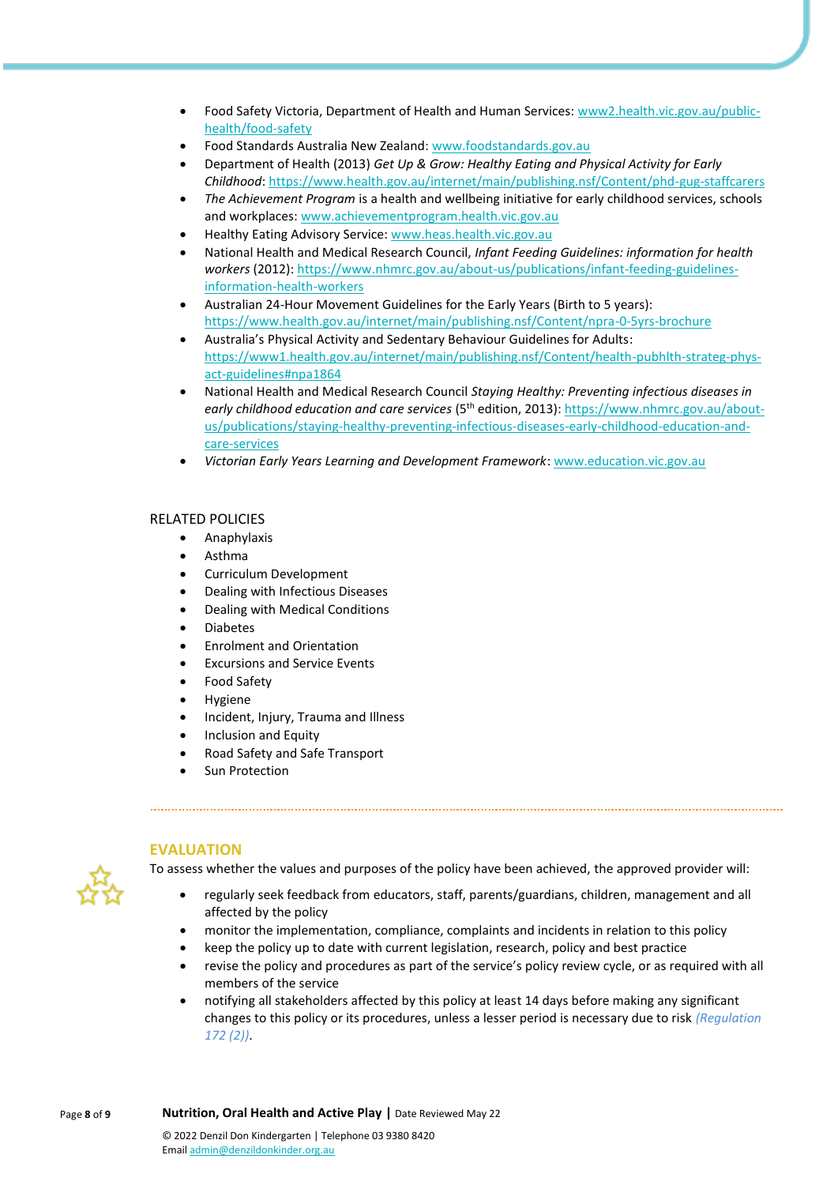- Food Safety Victoria, Department of Health and Human Services[: www2.health.vic.gov.au/public](https://www2.health.vic.gov.au/public-health/food-safety)[health/food-safety](https://www2.health.vic.gov.au/public-health/food-safety)
- Food Standards Australia New Zealand: [www.foodstandards.gov.au](http://www.foodstandards.gov.au/)
- Department of Health (2013) *Get Up & Grow: Healthy Eating and Physical Activity for Early Childhood*:<https://www.health.gov.au/internet/main/publishing.nsf/Content/phd-gug-staffcarers>
- *The Achievement Program* is a health and wellbeing initiative for early childhood services, schools and workplaces: [www.achievementprogram.health.vic.gov.au](http://www.achievementprogram.health.vic.gov.au/)
- Healthy Eating Advisory Service: [www.heas.health.vic.gov.au](http://heas.health.vic.gov.au/)
- National Health and Medical Research Council, *Infant Feeding Guidelines: information for health workers* (2012): [https://www.nhmrc.gov.au/about-us/publications/infant-feeding-guidelines](https://www.nhmrc.gov.au/about-us/publications/infant-feeding-guidelines-information-health-workers)[information-health-workers](https://www.nhmrc.gov.au/about-us/publications/infant-feeding-guidelines-information-health-workers)
- Australian 24-Hour Movement Guidelines for the Early Years (Birth to 5 years): <https://www.health.gov.au/internet/main/publishing.nsf/Content/npra-0-5yrs-brochure>
- Australia's Physical Activity and Sedentary Behaviour Guidelines for Adults: [https://www1.health.gov.au/internet/main/publishing.nsf/Content/health-pubhlth-strateg-phys](https://www1.health.gov.au/internet/main/publishing.nsf/Content/health-pubhlth-strateg-phys-act-guidelines#npa1864)[act-guidelines#npa1864](https://www1.health.gov.au/internet/main/publishing.nsf/Content/health-pubhlth-strateg-phys-act-guidelines#npa1864)
- National Health and Medical Research Council *Staying Healthy: Preventing infectious diseases in early childhood education and care services* (5th edition, 2013): [https://www.nhmrc.gov.au/about](https://www.nhmrc.gov.au/about-us/publications/staying-healthy-preventing-infectious-diseases-early-childhood-education-and-care-services)[us/publications/staying-healthy-preventing-infectious-diseases-early-childhood-education-and](https://www.nhmrc.gov.au/about-us/publications/staying-healthy-preventing-infectious-diseases-early-childhood-education-and-care-services)[care-services](https://www.nhmrc.gov.au/about-us/publications/staying-healthy-preventing-infectious-diseases-early-childhood-education-and-care-services)
- *Victorian Early Years Learning and Development Framework*[: www.education.vic.gov.au](http://www.education.vic.gov.au/Pages/default.aspx)

#### RELATED POLICIES

- Anaphylaxis
- Asthma
- Curriculum Development
- Dealing with Infectious Diseases
- Dealing with Medical Conditions
- Diabetes
- Enrolment and Orientation
- **Excursions and Service Events**
- Food Safety
- **Hygiene**
- Incident, Injury, Trauma and Illness
- Inclusion and Equity
- Road Safety and Safe Transport
- Sun Protection

# **EVALUATION**

To assess whether the values and purposes of the policy have been achieved, the approved provider will:

- regularly seek feedback from educators, staff, parents/guardians, children, management and all affected by the policy
- monitor the implementation, compliance, complaints and incidents in relation to this policy
- keep the policy up to date with current legislation, research, policy and best practice
- revise the policy and procedures as part of the service's policy review cycle, or as required with all members of the service
- notifying all stakeholders affected by this policy at least 14 days before making any significant changes to this policy or its procedures, unless a lesser period is necessary due to risk *(Regulation 172 (2))*.